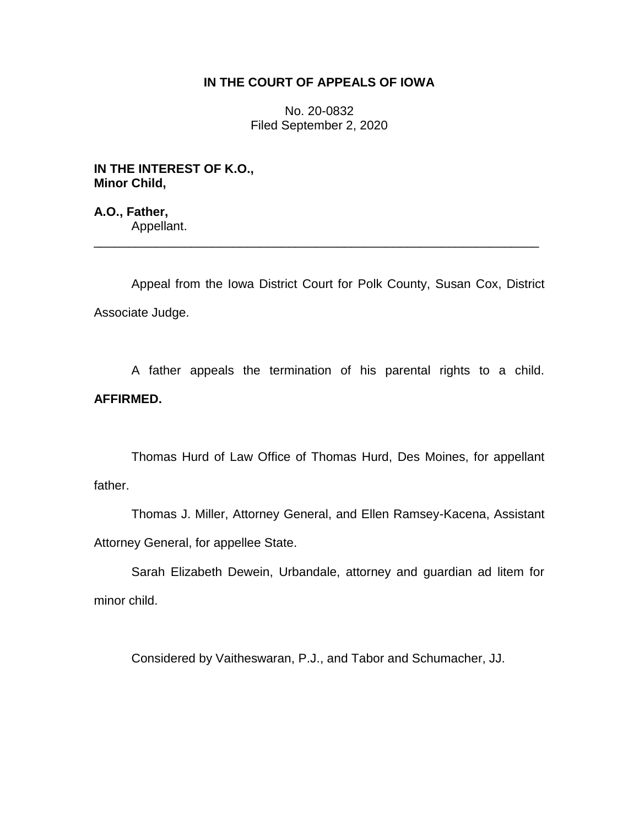## **IN THE COURT OF APPEALS OF IOWA**

No. 20-0832 Filed September 2, 2020

**IN THE INTEREST OF K.O., Minor Child,**

**A.O., Father,** Appellant.

Appeal from the Iowa District Court for Polk County, Susan Cox, District Associate Judge.

\_\_\_\_\_\_\_\_\_\_\_\_\_\_\_\_\_\_\_\_\_\_\_\_\_\_\_\_\_\_\_\_\_\_\_\_\_\_\_\_\_\_\_\_\_\_\_\_\_\_\_\_\_\_\_\_\_\_\_\_\_\_\_\_

A father appeals the termination of his parental rights to a child. **AFFIRMED.**

Thomas Hurd of Law Office of Thomas Hurd, Des Moines, for appellant father.

Thomas J. Miller, Attorney General, and Ellen Ramsey-Kacena, Assistant Attorney General, for appellee State.

Sarah Elizabeth Dewein, Urbandale, attorney and guardian ad litem for minor child.

Considered by Vaitheswaran, P.J., and Tabor and Schumacher, JJ.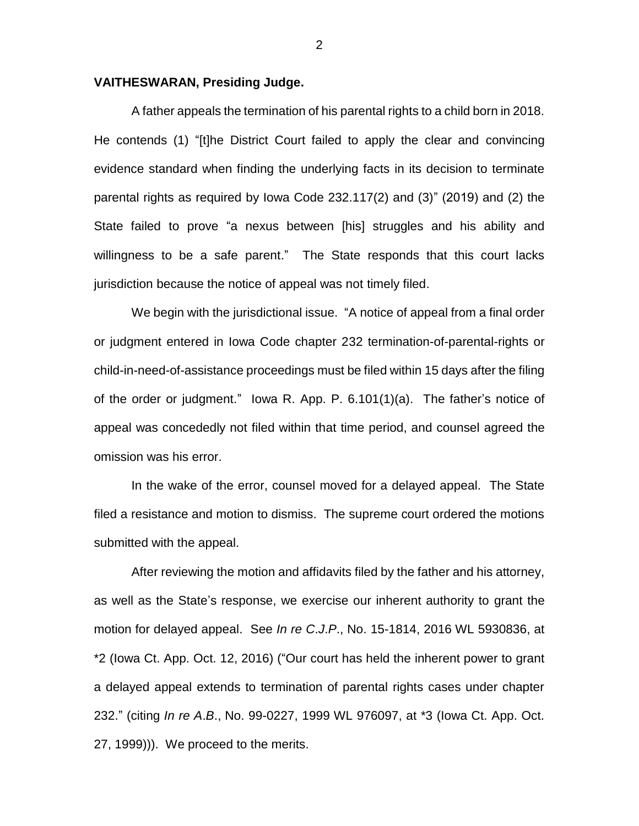## **VAITHESWARAN, Presiding Judge.**

A father appeals the termination of his parental rights to a child born in 2018. He contends (1) "[t]he District Court failed to apply the clear and convincing evidence standard when finding the underlying facts in its decision to terminate parental rights as required by Iowa Code 232.117(2) and (3)" (2019) and (2) the State failed to prove "a nexus between [his] struggles and his ability and willingness to be a safe parent." The State responds that this court lacks jurisdiction because the notice of appeal was not timely filed.

We begin with the jurisdictional issue. "A notice of appeal from a final order or judgment entered in Iowa Code chapter 232 termination-of-parental-rights or child-in-need-of-assistance proceedings must be filed within 15 days after the filing of the order or judgment." Iowa R. App. P. 6.101(1)(a). The father's notice of appeal was concededly not filed within that time period, and counsel agreed the omission was his error.

In the wake of the error, counsel moved for a delayed appeal. The State filed a resistance and motion to dismiss. The supreme court ordered the motions submitted with the appeal.

After reviewing the motion and affidavits filed by the father and his attorney, as well as the State's response, we exercise our inherent authority to grant the motion for delayed appeal. See *In re C*.*J*.*P*., No. 15-1814, 2016 WL 5930836, at \*2 (Iowa Ct. App. Oct. 12, 2016) ("Our court has held the inherent power to grant a delayed appeal extends to termination of parental rights cases under chapter 232." (citing *In re A*.*B*., No. 99-0227, 1999 WL 976097, at \*3 (Iowa Ct. App. Oct. 27, 1999))). We proceed to the merits.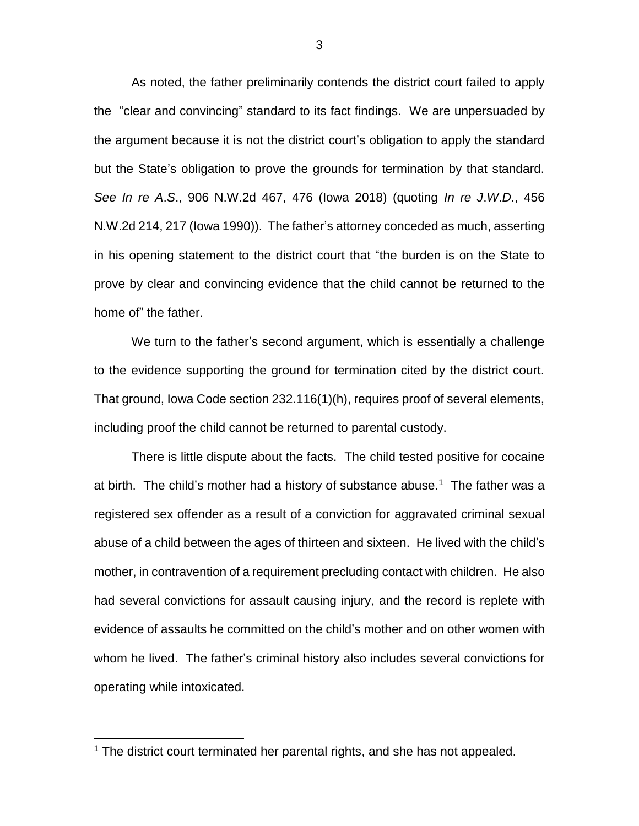As noted, the father preliminarily contends the district court failed to apply the "clear and convincing" standard to its fact findings. We are unpersuaded by the argument because it is not the district court's obligation to apply the standard but the State's obligation to prove the grounds for termination by that standard. *See In re A*.*S*., 906 N.W.2d 467, 476 (Iowa 2018) (quoting *In re J*.*W*.*D*., 456 N.W.2d 214, 217 (Iowa 1990)). The father's attorney conceded as much, asserting in his opening statement to the district court that "the burden is on the State to prove by clear and convincing evidence that the child cannot be returned to the home of" the father.

We turn to the father's second argument, which is essentially a challenge to the evidence supporting the ground for termination cited by the district court. That ground, Iowa Code section 232.116(1)(h), requires proof of several elements, including proof the child cannot be returned to parental custody.

There is little dispute about the facts. The child tested positive for cocaine at birth. The child's mother had a history of substance abuse.<sup>1</sup> The father was a registered sex offender as a result of a conviction for aggravated criminal sexual abuse of a child between the ages of thirteen and sixteen. He lived with the child's mother, in contravention of a requirement precluding contact with children. He also had several convictions for assault causing injury, and the record is replete with evidence of assaults he committed on the child's mother and on other women with whom he lived. The father's criminal history also includes several convictions for operating while intoxicated.

 $\overline{a}$ 

<sup>&</sup>lt;sup>1</sup> The district court terminated her parental rights, and she has not appealed.